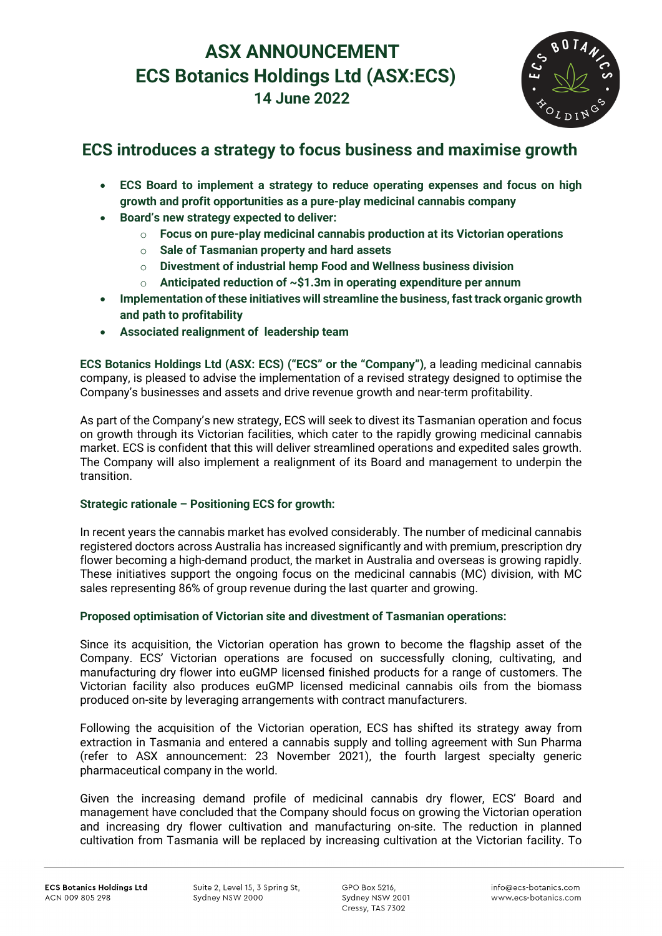# **ASX ANNOUNCEMENT ECS Botanics Holdings Ltd (ASX:ECS) 14 June 2022**



# **ECS introduces a strategy to focus business and maximise growth**

- **ECS Board to implement a strategy to reduce operating expenses and focus on high growth and profit opportunities as a pure-play medicinal cannabis company**
- **Board's new strategy expected to deliver:**
	- o **Focus on pure-play medicinal cannabis production at its Victorian operations**
	- o **Sale of Tasmanian property and hard assets**
	- o **Divestment of industrial hemp Food and Wellness business division**
	- o **Anticipated reduction of ~\$1.3m in operating expenditure per annum**
- **Implementation of these initiatives will streamline the business, fast track organic growth and path to profitability**
- **Associated realignment of leadership team**

**ECS Botanics Holdings Ltd (ASX: ECS) ("ECS" or the "Company")**, a leading medicinal cannabis company, is pleased to advise the implementation of a revised strategy designed to optimise the Company's businesses and assets and drive revenue growth and near-term profitability.

As part of the Company's new strategy, ECS will seek to divest its Tasmanian operation and focus on growth through its Victorian facilities, which cater to the rapidly growing medicinal cannabis market. ECS is confident that this will deliver streamlined operations and expedited sales growth. The Company will also implement a realignment of its Board and management to underpin the transition.

# **Strategic rationale – Positioning ECS for growth:**

In recent years the cannabis market has evolved considerably. The number of medicinal cannabis registered doctors across Australia has increased significantly and with premium, prescription dry flower becoming a high-demand product, the market in Australia and overseas is growing rapidly. These initiatives support the ongoing focus on the medicinal cannabis (MC) division, with MC sales representing 86% of group revenue during the last quarter and growing.

# **Proposed optimisation of Victorian site and divestment of Tasmanian operations:**

Since its acquisition, the Victorian operation has grown to become the flagship asset of the Company. ECS' Victorian operations are focused on successfully cloning, cultivating, and manufacturing dry flower into euGMP licensed finished products for a range of customers. The Victorian facility also produces euGMP licensed medicinal cannabis oils from the biomass produced on-site by leveraging arrangements with contract manufacturers.

Following the acquisition of the Victorian operation, ECS has shifted its strategy away from extraction in Tasmania and entered a cannabis supply and tolling agreement with Sun Pharma (refer to ASX announcement: 23 November 2021), the fourth largest specialty generic pharmaceutical company in the world.

Given the increasing demand profile of medicinal cannabis dry flower, ECS' Board and management have concluded that the Company should focus on growing the Victorian operation and increasing dry flower cultivation and manufacturing on-site. The reduction in planned cultivation from Tasmania will be replaced by increasing cultivation at the Victorian facility. To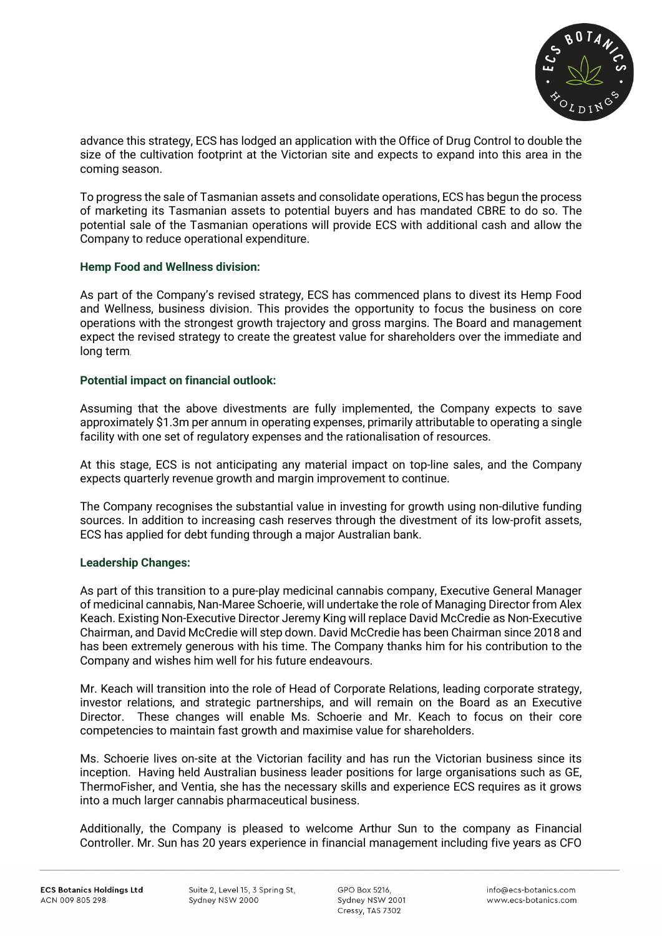

advance this strategy, ECS has lodged an application with the Office of Drug Control to double the size of the cultivation footprint at the Victorian site and expects to expand into this area in the coming season.

To progress the sale of Tasmanian assets and consolidate operations, ECS has begun the process of marketing its Tasmanian assets to potential buyers and has mandated CBRE to do so. The potential sale of the Tasmanian operations will provide ECS with additional cash and allow the Company to reduce operational expenditure.

### **Hemp Food and Wellness division:**

As part of the Company's revised strategy, ECS has commenced plans to divest its Hemp Food and Wellness, business division. This provides the opportunity to focus the business on core operations with the strongest growth trajectory and gross margins. The Board and management expect the revised strategy to create the greatest value for shareholders over the immediate and long term.

### **Potential impact on financial outlook:**

Assuming that the above divestments are fully implemented, the Company expects to save approximately \$1.3m per annum in operating expenses, primarily attributable to operating a single facility with one set of regulatory expenses and the rationalisation of resources.

At this stage, ECS is not anticipating any material impact on top-line sales, and the Company expects quarterly revenue growth and margin improvement to continue.

The Company recognises the substantial value in investing for growth using non-dilutive funding sources. In addition to increasing cash reserves through the divestment of its low-profit assets, ECS has applied for debt funding through a major Australian bank.

# **Leadership Changes:**

As part of this transition to a pure-play medicinal cannabis company, Executive General Manager of medicinal cannabis, Nan-Maree Schoerie, will undertake the role of Managing Director from Alex Keach. Existing Non-Executive Director Jeremy King will replace David McCredie as Non-Executive Chairman, and David McCredie will step down. David McCredie has been Chairman since 2018 and has been extremely generous with his time. The Company thanks him for his contribution to the Company and wishes him well for his future endeavours.

Mr. Keach will transition into the role of Head of Corporate Relations, leading corporate strategy, investor relations, and strategic partnerships, and will remain on the Board as an Executive Director. These changes will enable Ms. Schoerie and Mr. Keach to focus on their core competencies to maintain fast growth and maximise value for shareholders.

Ms. Schoerie lives on-site at the Victorian facility and has run the Victorian business since its inception. Having held Australian business leader positions for large organisations such as GE, ThermoFisher, and Ventia, she has the necessary skills and experience ECS requires as it grows into a much larger cannabis pharmaceutical business.

Additionally, the Company is pleased to welcome Arthur Sun to the company as Financial Controller. Mr. Sun has 20 years experience in financial management including five years as CFO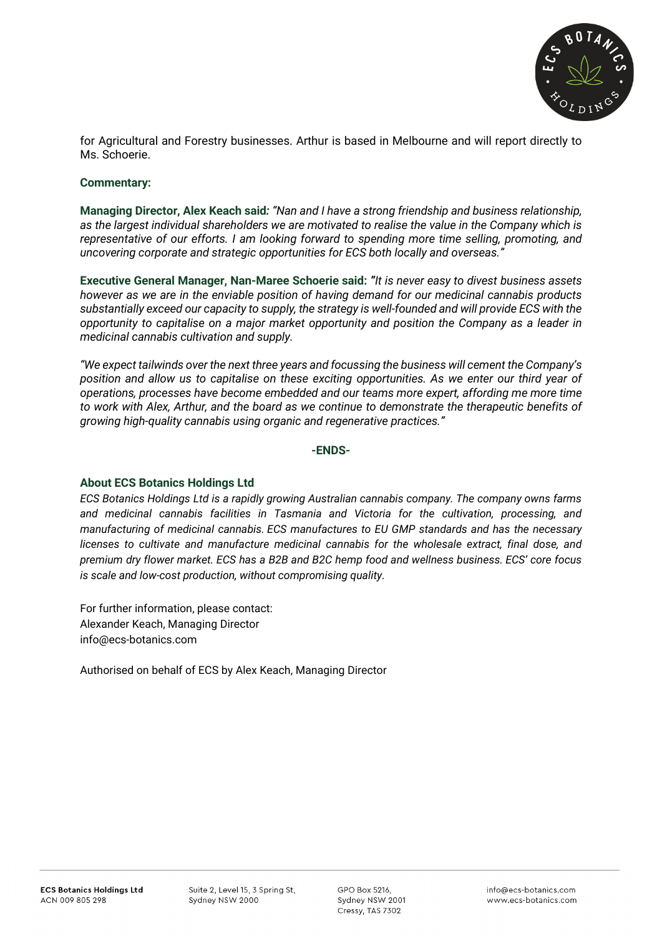

for Agricultural and Forestry businesses. Arthur is based in Melbourne and will report directly to Ms. Schoerie.

#### **Commentary:**

**Managing Director, Alex Keach said***: "Nan and I have a strong friendship and business relationship, as the largest individual shareholders we are motivated to realise the value in the Company which is representative of our efforts. I am looking forward to spending more time selling, promoting, and uncovering corporate and strategic opportunities for ECS both locally and overseas."*

**Executive General Manager, Nan-Maree Schoerie said:** *"It is never easy to divest business assets however as we are in the enviable position of having demand for our medicinal cannabis products substantially exceed our capacity to supply, the strategy is well-founded and will provide ECS with the opportunity to capitalise on a major market opportunity and position the Company as a leader in medicinal cannabis cultivation and supply.* 

*"We expect tailwinds over the next three years and focussing the business will cement the Company's position and allow us to capitalise on these exciting opportunities. As we enter our third year of operations, processes have become embedded and our teams more expert, affording me more time to work with Alex, Arthur, and the board as we continue to demonstrate the therapeutic benefits of growing high-quality cannabis using organic and regenerative practices."*

#### **-ENDS-**

#### **About ECS Botanics Holdings Ltd**

*ECS Botanics Holdings Ltd is a rapidly growing Australian cannabis company. The company owns farms and medicinal cannabis facilities in Tasmania and Victoria for the cultivation, processing, and manufacturing of medicinal cannabis. ECS manufactures to EU GMP standards and has the necessary licenses to cultivate and manufacture medicinal cannabis for the wholesale extract, final dose, and premium dry flower market. ECS has a B2B and B2C hemp food and wellness business. ECS' core focus is scale and low-cost production, without compromising quality.*

For further information, please contact: Alexander Keach, Managing Director [info@ecs-botanics.com](mailto:info@ecs-botanics.com.au)

Authorised on behalf of ECS by Alex Keach, Managing Director